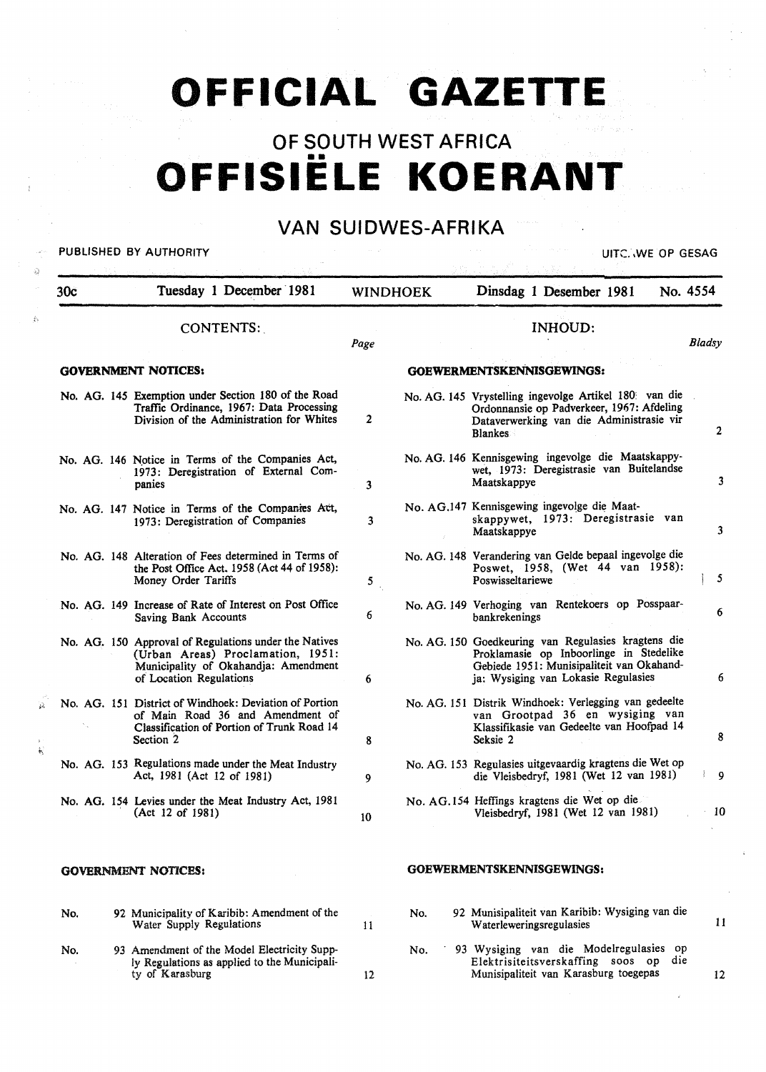# **OFFICIAL GAZETTE**

# OF SOUTH WEST AFRICA •• **OFFISIELE KOERANT**

## VAN SUIDWES-AFRIKA

PUBLISHED BY AUTHORITY **EXECUTE A SECOND TEST OF SECOND ACTION** 

 $\mathcal{L}$ 

A

| 30c | Tuesday 1 December 1981                                                                                                                                       |                | <b>WINDHOEK</b> | Dinsdag 1 Desember 1981<br>No. 4554                                                                                                                                                |               |
|-----|---------------------------------------------------------------------------------------------------------------------------------------------------------------|----------------|-----------------|------------------------------------------------------------------------------------------------------------------------------------------------------------------------------------|---------------|
|     | CONTENTS:                                                                                                                                                     | Page           |                 | <b>INHOUD:</b>                                                                                                                                                                     | Bladsy        |
|     | <b>GOVERNMENT NOTICES:</b>                                                                                                                                    |                |                 | GOEWERMENTSKENNISGEWINGS:                                                                                                                                                          |               |
|     | No. AG. 145 Exemption under Section 180 of the Road<br>Traffic Ordinance, 1967: Data Processing<br>Division of the Administration for Whites                  | $\overline{2}$ |                 | No. AG. 145 Vrystelling ingevolge Artikel 180 van die<br>Ordonnansie op Padverkeer, 1967: Afdeling<br>Dataverwerking van die Administrasie vir<br><b>Blankes</b>                   | 2             |
|     | No. AG. 146 Notice in Terms of the Companies Act,<br>1973: Deregistration of External Com-<br>panies                                                          | 3              |                 | No. AG. 146 Kennisgewing ingevolge die Maatskappy-<br>wet, 1973: Deregistrasie van Buitelandse<br>Maatskappye                                                                      | 3             |
|     | No. AG. 147 Notice in Terms of the Companies Act,<br>1973: Deregistration of Companies                                                                        | 3              |                 | No. AG.147 Kennisgewing ingevolge die Maat-<br>skappywet, 1973: Deregistrasie van<br>Maatskappye                                                                                   | 3             |
|     | No. AG. 148 Alteration of Fees determined in Terms of<br>the Post Office Act. 1958 (Act 44 of 1958):<br>Money Order Tariffs                                   | 5              |                 | No. AG. 148 Verandering van Gelde bepaal ingevolge die<br>Poswet, 1958, (Wet 44 van 1958):<br>Poswisseltariewe                                                                     | 5             |
|     | No. AG. 149 Increase of Rate of Interest on Post Office<br><b>Saving Bank Accounts</b>                                                                        | 6              |                 | No. AG. 149 Verhoging van Rentekoers op Posspaar-<br>bankrekenings                                                                                                                 | 6             |
|     | No. AG. 150 Approval of Regulations under the Natives<br>(Urban Areas) Proclamation, 1951:<br>Municipality of Okahandja: Amendment<br>of Location Regulations | 6              |                 | No. AG. 150 Goedkeuring van Regulasies kragtens die<br>Proklamasie op Inboorlinge in Stedelike<br>Gebiede 1951: Munisipaliteit van Okahand-<br>ja: Wysiging van Lokasie Regulasies | 6             |
|     | No. AG. 151 District of Windhoek: Deviation of Portion<br>of Main Road 36 and Amendment of<br>Classification of Portion of Trunk Road 14<br>Section 2         | 8              |                 | No. AG. 151 Distrik Windhoek: Verlegging van gedeelte<br>van Grootpad 36 en wysiging van<br>Klassifikasie van Gedeelte van Hoofpad 14<br>Seksie 2                                  | 8             |
|     | No. AG. 153 Regulations made under the Meat Industry<br>Act, 1981 (Act 12 of 1981)                                                                            | 9              |                 | No. AG. 153 Regulasies uitgevaardig kragtens die Wet op<br>die Vleisbedryf, 1981 (Wet 12 van 1981)                                                                                 | $\frac{1}{2}$ |
|     | No. AG. 154 Levies under the Meat Industry Act, 1981<br>(Act 12 of 1981)                                                                                      | 10             |                 | No. AG.154 Heffings kragtens die Wet op die<br>Vleisbedryf, 1981 (Wet 12 van 1981)                                                                                                 | 10            |
|     | <b>GOVERNMENT NOTICES:</b>                                                                                                                                    |                |                 | GOEWERMENTSKENNISGEWINGS:                                                                                                                                                          |               |
| No. | 92 Municipality of Karibib: Amendment of the<br>Water Supply Regulations                                                                                      | 11             | No.             | 92 Munisipaliteit van Karibib: Wysiging van die<br>Waterleweringsregulasies                                                                                                        | 11            |
| No. | 93 Amendment of the Model Electricity Supp-                                                                                                                   |                | No.             | 93 Wysiging van die Modelregulasies op                                                                                                                                             |               |

12

Elektrisiteitsverskaffing soos op die Munisipaliteit van Karasburg toegepas

12

No. 93 Amendment of the Model Electricity Supply Regulations as applied to the Municipality of Karasburg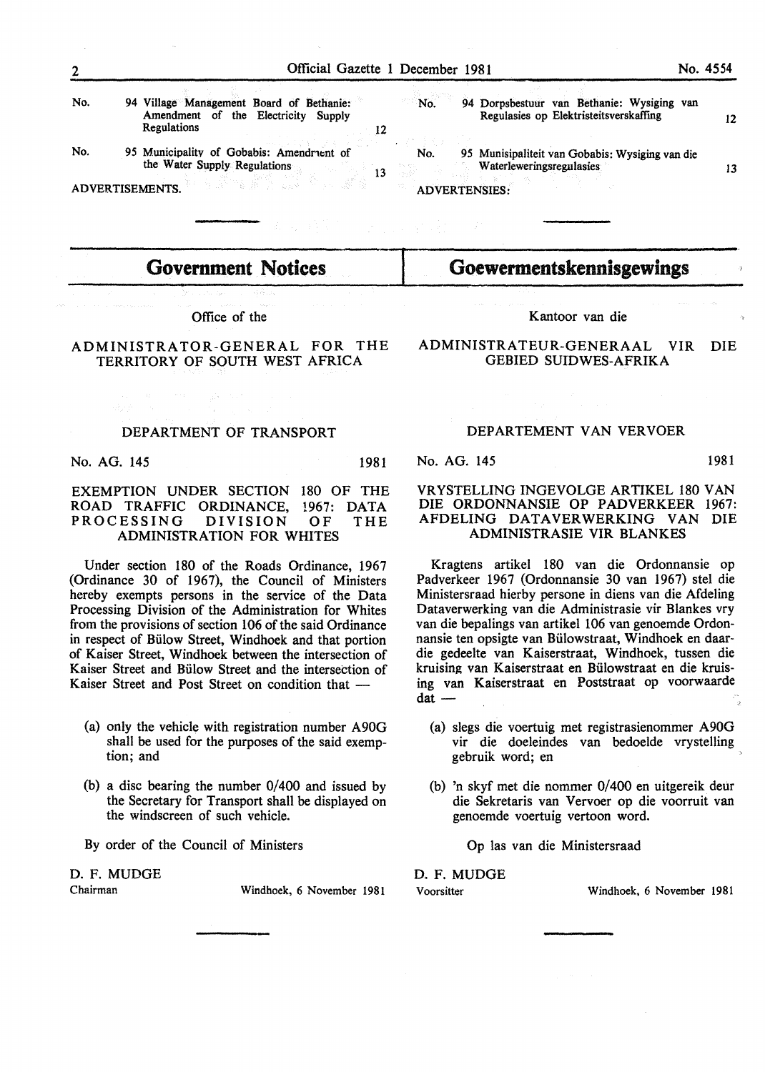12

13

No. 94 Village Management Board of Bethanie: Amendment of the Electricity Supply Regulations

No. 95 Municipality of Gobabis: Amendruent of the Water Supply Regulations

ADVERTISEMENTS.

No. No. 94 Dorpsbestuur van Bethanie: Wysiging van Regulasies op Elektristeitsverskaffmg *95* Munisipaliteit van Gobabis: Wysiging van die

**Waterleweringsregulasies** ADVERTENSIES:

**Government Notices** 

Office of the

#### ADMINISTRATOR-GENERAL FOR THE TERRITORY OF SOUTH WEST AFRICA

#### DEPARTMENT OF TRANSPORT

No. AG. 145 1981

#### EXEMPTION UNDER SECTION 180 OF THE ROAD TRAFFIC ORDINANCE, 1967: DATA<br>PROCESSING DIVISION OF THE PROCESSING DIVISION OF THE ADMINISTRATION FOR WHITES

Under section 180 of the Roads Ordinance, 1967 (Ordinance 30 of 1967), the Council of Ministers hereby exempts persons in the service of the Data Processing Division of the Administration for Whites from the provisions of section 106 of the said Ordinance in respect of Biilow Street, Windhoek and that portion of Kaiser Street, Windhoek between the intersection of Kaiser Street and Biilow Street and the intersection of Kaiser Street and Post Street on condition that -

- (a) only the vehicle with registration number A90G shall be used for the purposes of the said exemption; and
- (b) a disc bearing the number 0/400 and issued by the Secretary for Transport shall be displayed on the windscreen of such vehicle.
- By order of the Council of Ministers

## D. F. MUDGE

Windhoek, 6 November 1981

Kantoor van die

Goewermentskennisgewings

ADMINISTRATEUR-GENERAAL VIR DIE GEBIED SUIDWES-AFRIKA

#### DEPARTEMENT VAN VERVOER

No. AG. 145 1981

#### VRYSTELLING INGEVOLGE ARTIKEL 180 VAN DIE ORDONNANSIE OP PADVERKEER 1967: AFDELING DATA VER WERKING VAN DIE ADMINISTRASIE VIR BLANKES

Kragtens artikel 180 van die Ordonnansie op Padverkeer 1967 (Ordonnansie 30 van 1967) stel die Ministersraad hierby persone in diens van die Afdeling Dataverwerking van die Administrasie vir Blankes vry van die bepalings van artikel 106 van genoemde Ordonnansie ten opsigte van Biilowstraat, Windhoek en daardie gedeelte van Kaiserstraat, Windhoek, tussen die kruising van Kaiserstraat en Biilowstraat en die kruising van Kaiserstraat en Poststraat op voorwaarde  $dat$  -

- (a) slegs die voertuig met registrasienommer A90G vir die doeleindes van bedoelde vrystelling gebruik word; en
- (b) 'n skyf met die nommer 0/400 en uitgereik deur die Sekretaris van Vervoer op die voorruit van genoemde voertuig vertoon word.

Op las van die Ministersraad

D. F. MUDGE

Voorsitter Windhoek, 6 November 1981

12

13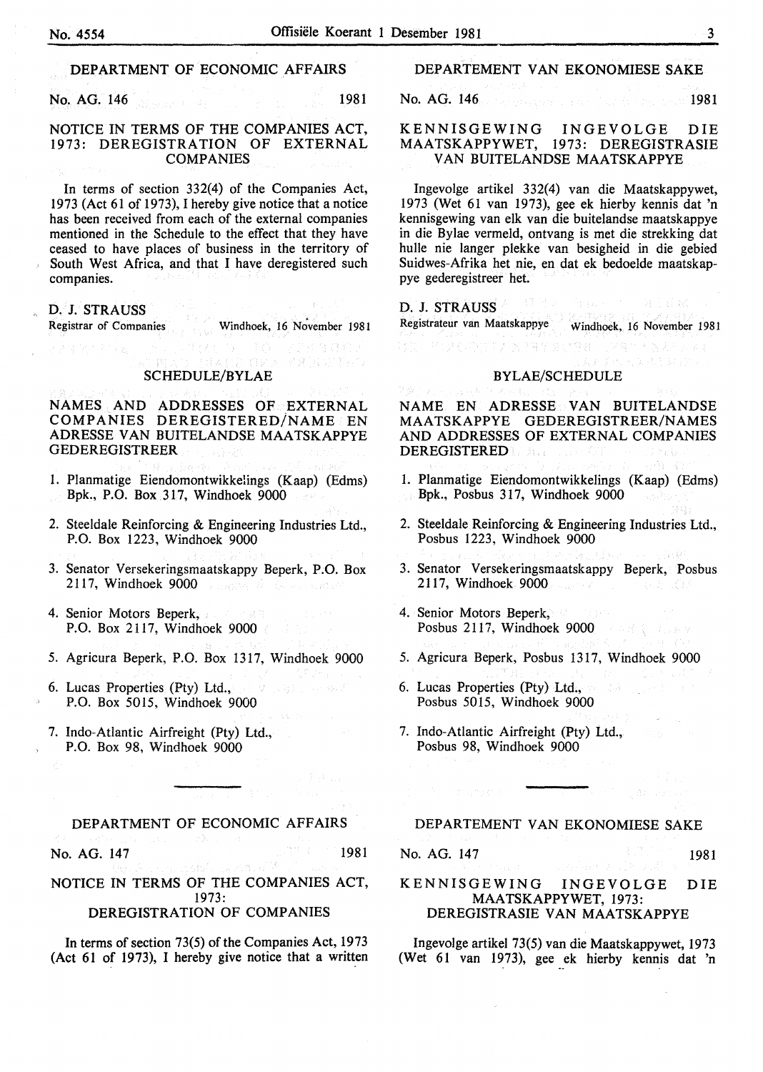### DEPARTMENT OF ECONOMIC AFFAIRS

No. AG. 146 **1981** 

#### NOTICE IN TERMS OF THE COMPANIES ACT, 1973: DEREGISTRATION OF EXTERNAL COMPANIES

In terms of section 332(4) of the Companies Act, 1973 (Act 61 of 1973), I hereby give notice that a notice has been received from each of the external companies mentioned in the Schedule to the effect that they have ceased to have places of business in the territory of South West Africa, and that I have deregistered such companies.

D. J. STRAUSS<br>Registrar of Companies Windhoek, 16 November 1981

#### SCHEDULE/BYLAE

 $\mathcal{L}^{\mathcal{I}}\left(\mathcal{I},\mathcal{E}\right)\overset{\mathcal{I}}{\rightarrow}\mathcal{L}^{\mathcal{I}}$ 

あまいた 容談 あいい 臭(おい) すいこう

NAMES AND ADDRESSES OF EXTERNAL COMPANIES DEREGISTERED/NAME EN ADRESSE VAN BUITELANDSE MAATSKAPPYE GEDEREGISTREER

- 1. Planmatige Eiendomontwikkelings (Kaap) (Edms) Bpk., P.O. Box 317, Windhoek 9000
- 2. Steeldale Reinforcing & Engineering Industries Ltd., P.O. Box 1223, Windhoek 9000
- 3. Senator Versekeringsmaatskappy Beperk, P.O. Box 2117, Windhoek 9000 a sana Alawa sanak
- 4. Senior Motors Beperk, P.O. Box 2117, Windhoek 9000
- 5. Agricura Beperk, P.O. Box 1317, Windhoek 9000
- 6. Lucas Properties (Pty) Ltd., · 夏 - 2743) P.O. Box 5015, Windhoek 9000
- 7. Indo-Atlantic Airfreight (Pty) Ltd., P.O. Box 98, Windhoek 9000

#### DEPARTMENT OF ECONOMIC AFFAIRS

No. AG. 147 **1981**<br>1981 - Contractor Sixon, activity and the same of the same of the same of the same of the same of the same of t

NOTICE IN TERMS OF THE COMPANIES ACT, 1973: DEREGISTRA TION OF COMPANIES

In terms of section 73(5) of the Companies Act, 1973 (Act 61 of 1973), I hereby give notice that a written

#### DEPARTEMENT VAN EKONOMIESE SAKE

No. AG. 146 **1981** 

#### KENNISGEWING INGEVOLGE DIE MAATSKAPPYWET, 1973: DEREGISTRASIE VAN BUITELANDSE MAATSKAPPYE

Ingevolge artikel 332(4) van die Maatskappywet, 1973 (Wet 61 van 1973), gee ek hierby kennis dat 'n kennisgewing van elk van die buitelandse maatskappye in die Bylae vermeld, ontvang is met die strekking dat hulle nie Ianger plekke van besigheid in die gebied Suidwes-Afrika het nie, en dat ek bedoelde maatskappye gederegistreer het.

(明白) D. J. STRAUSS Registrateur van Maatskappye Windhoek, 16 November 1981

#### BYLAE/SCHEDULE

「10%(以)は12 ×29% 20%は、129% \*

NAME EN ADRESSE VAN BUITELANDSE MAATSKAPPYE GEDEREGISTREER/NAMES AND ADDRESSES OF EXTERNAL COMPANIES DEREGISTERED

- 1. Planmatige Eiendomontwikkelings (Kaap) (Edms) Bpk., Posbus 317, Windhoek 9000
- 2. Steeldale Reinforcing & Engineering Industries Ltd., Posbus 1223, Windhoek 9000
- 3. Senator Versekeringsmaatskappy Beperk, Posbus 2117, Windhoek 9000 and the state
- 4. Senior Motors Beperk, Posbus 2117, Windhoek 9000 and the state of
- 5. Agricura Beperk, Posbus 1317, Windhoek 9000
- 6. Lucas Properties (Pty) Ltd., Posbus 5015, Windhoek 9000
- 7. Indo-Atlantic Airfreight (Pty) Ltd., Posbus 98, Windhoek 9000

#### DEPARTEMENT VAN EKONOMIESE SAKE

No. AG. 147 1981

#### KENNISGEWING INGEVOLGE DIE MAATSKAPPYWET, 1973: DEREGISTRASIE VAN MAATSKAPPYE

Ingevolge artikel 73(5) van die Maatskappywet, 1973 (Wet 61 van 1973), gee ek hierby kennis dat 'n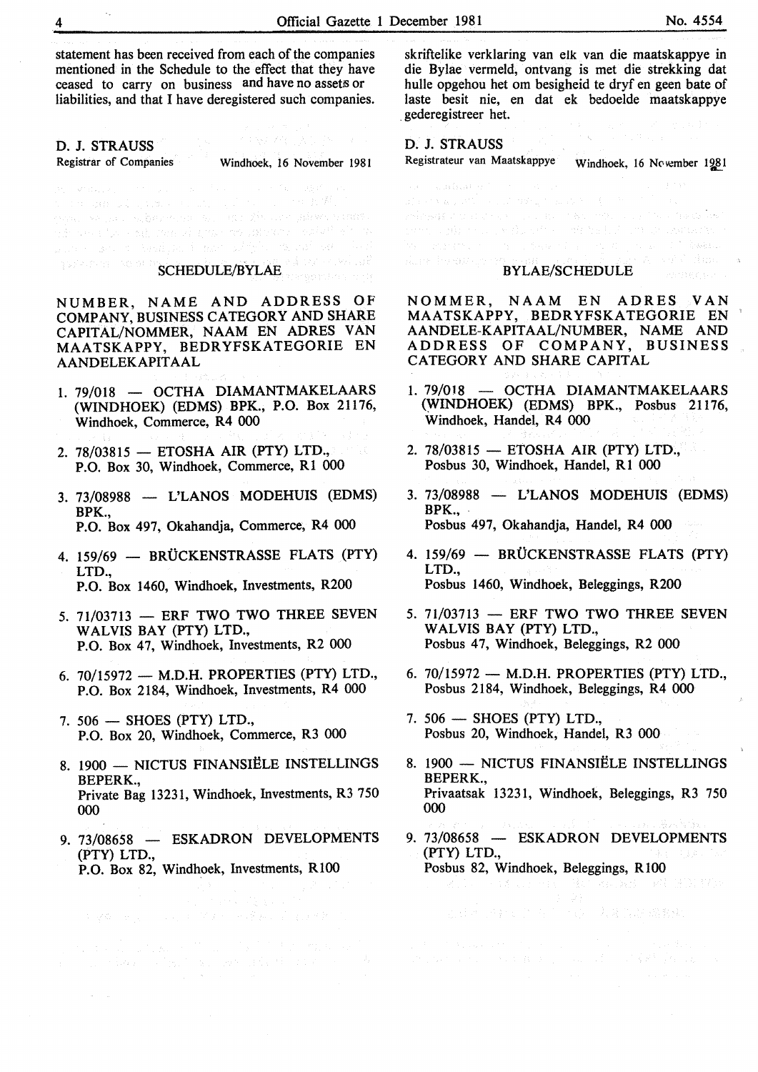statement has been received from each of the companies mentioned in the Schedule to the effect that they have ceased to carry on business and have no assets or liabilities, and that I have deregistered such companies.

D. J. STRAUSS<br>Registrar of Companies

Windhoek, 16 November 1981

SCHEDULE/BYLAE

NUMBER, NAME AND ADDRESS OF COMPANY, BUSINESS CATEGORY AND SHARE CAPITAL/NOMMER, NAAM EN ADRES VAN MAATSKAPPY, BEDRYFSKATEGORIE EN AANDELEKAPITAAL

and the second section is more addying the call out.

- 1. 79/018 OCTHA DIAMANTMAKELAARS (WINDHOEK) (EDMS) BPK., P.O. Box 21176, Windhoek, Commerce, R4 000
- 2. 78/03815 ETOSHA AIR (PTY) LTD., P.O. Box 30, Windhoek, Commerce, R1 000
- 3. 73/08988 L'LANOS MODEHUIS (EDMS) BPK., P.O. Box 497, Okahandja, Commerce, R4 000
- 4. 159/69 BRÜCKENSTRASSE FLATS (PTY) LTD., P.O. Box 1460, Windhoek, Investments, R200
- 5.  $71/03713$  ERF TWO TWO THREE SEVEN WALVIS BAY (PTY) LTD., P.O. Box 47, Windhoek, Investments, R2 000
- 6.  $70/15972$  M.D.H. PROPERTIES (PTY) LTD., P.O. Box 2184, Windhoek, Investments, R4 000
- $7.506$  SHOES (PTY) LTD., P.O. Box 20, Windhoek, Commerce, R3 000
- 8. 1900 NICTUS FINANSIËLE INSTELLINGS BEPERK., Private Bag 13231, Windhoek, Investments, R3 750 000
- 9. 73/08658 ESKADRON DEVELOPMENTS (PTY) LTD.,
	- P.O. Box 82, Windhoek, Investments, RlOO

skriftelike verklaring van elk van die maatskappye in die Bylae vermeld, ontvang is met die strekking dat bulle opgehou het om besigheid te dryf en geen bate of taste besit nie, en dat ek bedoelde maatskappye . gederegistreer het.

D. J. STRAUSS<br>Registrateur van Maatskappye

Windhoek, 16 November 1981

Ware the second of

#### BYLAE/SCHEDULE

NOMMER, NAAM EN ADRES VAN MAATSKAPPY, BEDRYFSKATEGORIE EN AANDELE-KAPITAAL/NUMBER, NAME AND ADDRESS OF COMPANY, BUSINESS CATEGORY AND SHARE CAPITAL

- 1. 79/018 OCTHA DIAMANTMAKELAARS (WINDHOEK) (EDMS) BPK., Posbus 21176, Windhoek, Handel, R4 000
- 2. 78/03815 ETOSHA AIR (PTY) LTD., Posbus 30, Windhoek, Handel, R1 000
- $3.73/08988$  L'LANOS MODEHUIS (EDMS) BPK., Posbus 497, Okahandja, Handel, R4 000
- 4. 159/69 BRÜCKENSTRASSE FLATS (PTY) LTD., Posbus 1460, Windhoek, Beleggings, R200
- 5. 71/03713 ERF TWO TWO THREE SEVEN WALVIS BAY (PTY) LTD., Posbus 47, Windhoek, Beleggings, R2 000
- 6.  $70/15972$  M.D.H. PROPERTIES (PTY) LTD., Posbus 2184, Windhoek, Beleggings, R4 000
- 7.  $506$  SHOES (PTY) LTD., Posbus 20, Windhoek, Handel, R3 000
- 8. 1900 NICTUS FINANSIËLE INSTELLINGS BEPERK., Privaatsak 13231, Windhoek, Beleggings, R3 750 000
- 9. 73/08658 ESKADRON DEVELOPMENTS (PTY) LTD., Posbus 82, Windhoek, Beleggings, R100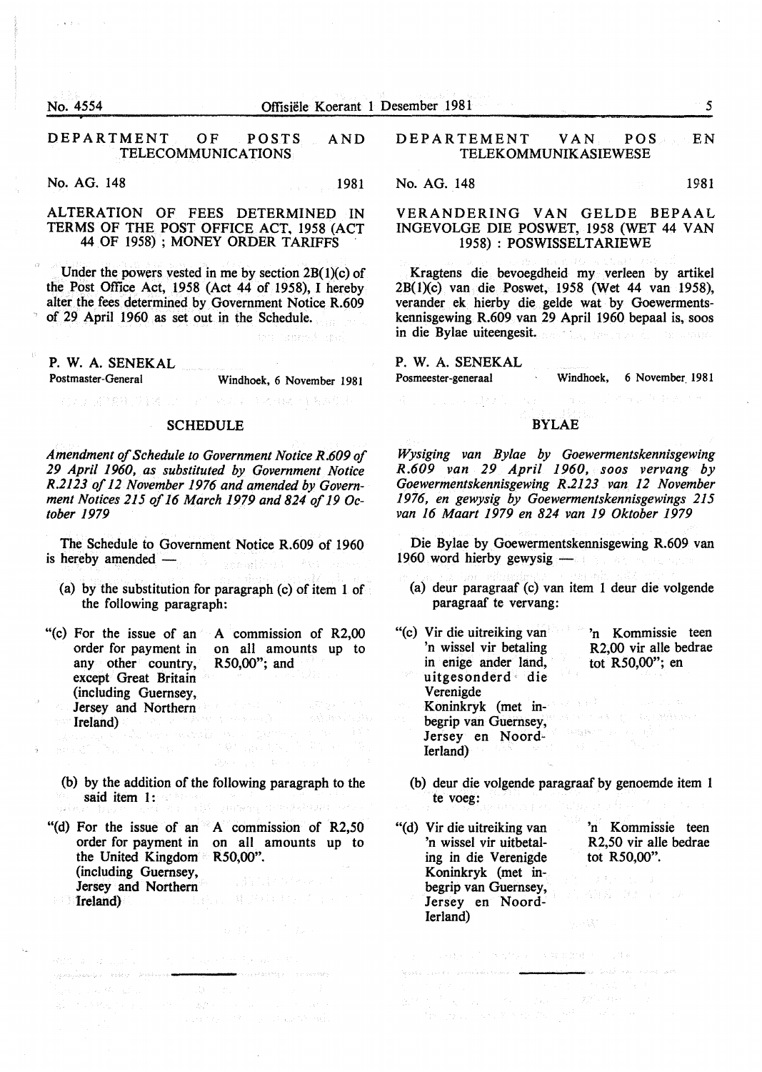$\lambda$  .  $\lambda$  .

#### DEPARTMENT OF POSTS AND TELECOMMUNICATIONS

No. AG. 148 1981

#### ALTERATION OF FEES DETERMINED IN TERMS OF THE POST OFFICE ACT. 1958 (ACT 44 OF 1958) ; MONEY ORDER TARIFFS

Under the powers vested in me by section  $2B(1)(c)$  of the Post Office Act, 1958 (Act 44 of 1958), I hereby alter the fees determined by Government Notice R.609 of 29 April 1960 as set out in the Schedule.

P. W. A. SENEKAL

Postmaster-General Windhoek, 6 November 1981

the Captured State

#### SCHEDULE

CONSTRACTION IN WORKER AND F

*Amendment of Schedule to Government Notice R.609 of 29 April 1960, as substituted by Government Notice R.2123 of 12 November 1976 and amended by Government Notices 215 of 16 March 1979 and 824 of 19 October 1979* 

The Schedule to Government Notice R.609 of 1960 is hereby amended —

(a) by the substitution for paragraph (c) of item 1 of the following paragraph:

"(c) For the issue of an A commission of R2,00 order for payment in any other country, except Great Britain (including Guernsey, Jersey and Northern (1988) **Ireland**) on all amounts up to R50,00"; and

(b) by the addition of the following paragraph to the said item 1:

"(d) For the issue of an A commission of R2,50 order for payment in on all amounts up to the United Kingdom  $R50,00$ ". (including Guernsey,<br>Jersey and Northern Treland)  $\label{eq:1} \frac{1}{\sqrt{2}}\sum_{i=1}^n\frac{1}{\sqrt{2}}\sum_{j=1}^n\left(\frac{1}{\sqrt{2}}\right)^2\sum_{j=1}^n\frac{1}{\sqrt{2}}\log\left(\frac{1}{\sqrt{2}}\right)\frac{1}{\sqrt{2}}\,.$ Jersey and Northern 'Ireland)

.<br>Website and and the account of the second state of the second state of the second state of the second state of

 $\mathcal{R}(\mathbb{Z}^n_{\mathbb{Z}^n},\mathfrak{d})=\mathcal{Q}(\mathbb{Z}_{\mathbb{Z}^n},\mathbb{Z}_{\mathbb{Z}^n})=\mathbb{Z}^n_{\mathbb{Z}^n}\subset\mathbb{Z}^n_{\mathbb{Z}^n}\subset\mathbb{Z}^n_{\mathbb{Z}^n}\subset\mathbb{Z}^n_{\mathbb{Z}^n}\subset\mathbb{Z}^n_{\mathbb{Z}^n}\subset\mathbb{Z}^n_{\mathbb{Z}^n}$ 

man (\* 1918)<br>1943 - Johann Barnett, fransk skriver (\* 1908)<br>20. september - Johann Barnett, fransk skriver (\* 1908)<br>1943 - Johann Barnett, fransk skriver (\* 1908)

il.<br>Tipologia konde e il 1996 (2000) desemble e il 1999 (1997).

#### DEPARTEMENT VAN POS EN TELEKOMMUNIKASIEWESE

No. AG. 148 1981

#### VERANDERING VAN GELDE BEPAAL INGEVOLGE DIE POSWET, 1958 (WET 44 VAN 1958) : POSWISSELTARIEWE

Kragtens die bevoegdheid my verleen by artikel 2B(1)(c) van die Poswet, 1958 (Wet 44 van 1958), verander ek hierby die gelde wat by Goewermentskennisgewing R.609 van 29 April 1960 bepaal is, soos in die Bylae uiteengesit.

## P. W. A. SENEKAL

a company of the State of the State of the State of the State of the State of the State of the State of the State of the State of the State of the State of the State of the State of the State of the State of the State of t

Posmeester-generaal Windhoek, 6 November. 1981

#### BYLAE

*Wysiging van Bylae by Goewermentskennisgewing R.609 van 29 April 1960, soos vervang by Goewermentskennisgewing R.2123 van 12 November 1976, en gewysig by Goewermentskennisgewings 215 van 16 Maart 1979 en 824 van 19 Oktober 1979* 

Die Bylae by Goewermentskennisgewing R.609 van  $1960$  word hierby gewysig  $-$ 

- (a) deur paragraaf (c) van item 1 deur die volgende paragraaf te vervang:
- "(c) Vir die uitreiking van 'n wissel vir betaling in enige ander land, uitgesonderd die Verenigde Koninkryk (met inbegrip van Guernsey, Jersey en Noord-Ierland) 'n Kommissie teen R2,00 vir aile bedrae tot R50,00''; en
	- (b) deur die volgende paragraaf by genoemde item 1 te voeg:

"(d) Vir die uitreiking van 'n wissel vir uitbetaling in die Verenigde Koninkryk (met inbegrip van Guernsey, Jersey en Noord-Ierland)

Appear to be predicted enters and

 $\label{eq:3.1} \gamma_{1}=\gamma_{1}+\alpha_{1}+\gamma_{2}=\gamma_{1}+\gamma_{2}+\gamma_{3}+\gamma_{4}+\gamma_{5}+\gamma_{6}+\gamma_{7}+\gamma_{8}+\gamma_{9}+\gamma_{10}+\gamma_{11}+\gamma_{12}+\gamma_{13}+\gamma_{14}+\gamma_{15}+\gamma_{16}+\gamma_{17}+\gamma_{18}+\gamma_{19}+\gamma_{10}+\gamma_{11}+\gamma_{12}+\gamma_{13}+\gamma_{14}+\gamma_{15}+\gamma_{16}+\gamma_{17}+\gamma_{18}+\gamma_{19}+\gamma_{19}+\gamma_{10}+\gamma_{10}+\gamma_{11}+\gamma$ 

de transformada en la componentación de la proporción de la componentación de la proporción de la componentación de la componentación de la componentación de la componentación de la componentación de la componentación de l

'n Kommissie teen R2,50 vir aile bedrae tot R50,00".

ころ狂妄 さほしょうしん

لعفي ومانيات المنا أساما النعيس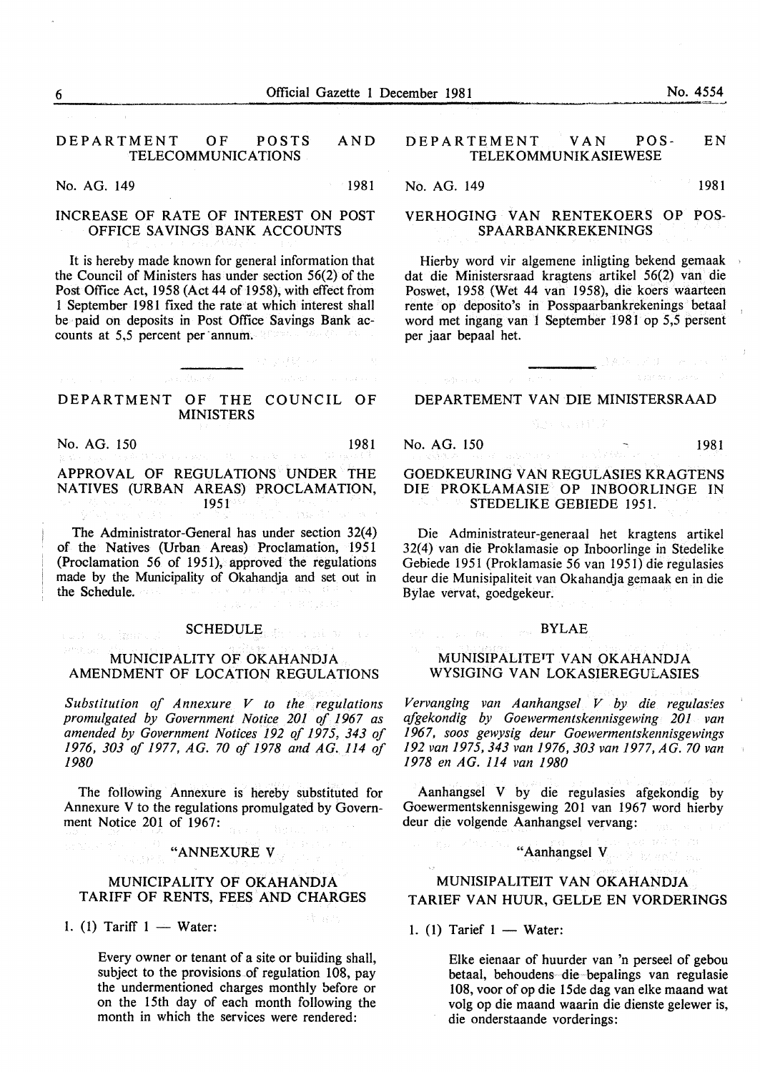#### DEPARTMENT OF POSTS AND TELECOMMUNICATIONS

No. AG. 149 1981

### INCREASE OF RATE OF INTEREST ON POST OFFICE SAVINGS BANK ACCOUNTS

It is hereby made known for general information that the Council of Ministers has under section 56(2) of the Post Office Act, 1958 (Act 44 of 1958), with effect from I September 198I fixed the rate at which interest shall be paid on deposits in Post Office Savings Bank accounts at 5,5 percent per annum.

#### DEPARTMENT OF THE COUNCIL OF MINISTERS

 $\label{eq:2.1} \frac{1}{\sqrt{2\pi}\int_{0}^{\infty}\int_{0}^{\infty}\int_{0}^{\infty}\int_{0}^{\infty}\int_{0}^{\infty}\int_{0}^{\infty}\int_{0}^{\infty}\int_{0}^{\infty}\int_{0}^{\infty}\int_{0}^{\infty}\int_{0}^{\infty}\int_{0}^{\infty}\int_{0}^{\infty}\int_{0}^{\infty}\int_{0}^{\infty}\int_{0}^{\infty}\int_{0}^{\infty}\int_{0}^{\infty}\int_{0}^{\infty}\int_{0}^{\infty}\int_{0}^{\infty}\int_{0}^{\infty}\int$ 

No. AG. 150 1981

essi on imag

#### APPROVAL OF REGULATIONS UNDER THE NATIVES (URBAN AREAS) PROCLAMATION, 1951

The Administrator-General has under section 32(4) of the Natives (Urban Areas) Proclamation, 1951 (Proclamation 56 of 1951), approved the regulations made by the Municipality of Okahandja and set out in the Schedule.

## SCHEDULE Experience of the Co

THURSDAY OF BIOLECK

#### MUNICIPALITY OF OKAHANDJA AMENDMENT OF LOCATION REGULATIONS

*Substitution of Annexure V to the regulations promulgated by Government Notice 201 of 1967 as amended by Government Notices 192 of 1975, 343 of 1976, 303 of 1977, AG. 70 of 1978 and AG. 114 of 1980* 

The following Annexure is hereby substituted for Annexure V to the regulations promulgated by Government Notice 201 of 1967:

### "ANNEXURE V

#### MUNICIPALITY OF OKAHANDJA TARIFF OF RENTS, FEES AND CHARGES

1. (1) Tariff  $1 - Water$ :

**SASYEN** 

Every owner or tenant of a site or buiiding shall, subject to the provisions of regulation 108, pay the undermentioned charges monthly before or on the 15th day of each month following the month in which the services were rendered:

#### DEPARTEMENT VAN POS- EN TELEKOMMUNIKASIEWESE

No. AG. 149 1981

#### VERHOGING VAN RENTEKOERS OP POS-SPAARBANKREKENINGS

Hierby word vir algemene inligting bekend gemaak dat die Ministersraad kragtens artikel 56(2) van die Poswet, 1958 (Wet 44 van 1958), die koers waarteen rente op deposito's in Posspaarbankrekenings betaal word met ingang van 1 September 1981 op 5,5 persent per jaar bepaal het.

#### DEPARTEMENT VAN DIE MINISTERSRAAD

### No. AG. 150 1981

SON PLANT

#### GOEDKEURING VAN REGULASIES KRAGTENS DIE PROKLAMASIE OP INBOORLINGE IN STEDELIKE GEBIEDE I951.

Die Administrateur-generaal het kragtens artikel 32(4) van die Proklamasie op Inboorlinge in Stedelike Gebiede I95I (Proklamasie 56 van 1951) die regulasies deur die Munisipaliteit van Okahandja gemaak en in die Bylae vervat, goedgekeur.

## $\mathbb{R}^{\mathbb{N}_0}$  , we can be a second  $\textbf{BYLAE}$

#### MUNISIPALITETT VAN OKAHANDJA WYSIGING VAN LOKASIEREGULASIES

*Vervanging van Aanhangsel V by die regulasies afgekondig by Goewermentskennisgewing 201 van 1967, soos gewysig deur Goewermentskennisgewings 192 van 1975,343 van 1976,303 van 1977, AG. 70 van 1978 en A G. 114 van 1980* 

Aanhangsel V by die regulasies afgekondig by Goewermentskennisgewing 20I van 1967 word hierby deur die volgende Aanhangsel vervang:

"Aanhangsel V

#### MUNISIPALITEIT VAN OKAHANDJA TARIEF VAN HUUR, GELDE EN VORDERINGS

1. (1) Tarief  $1 - W_{\text{ater}}$ :

Elke eienaar of huurder van 'n perseel of gebou betaal, behoudens die bepalings van regulasie l 08, voor of op die 15de dag van elke maand wat volg op die maand waarin die dienste gelewer is, die onderstaande vorderings:

 $\rightarrow$  18.5 . An and  $\sim$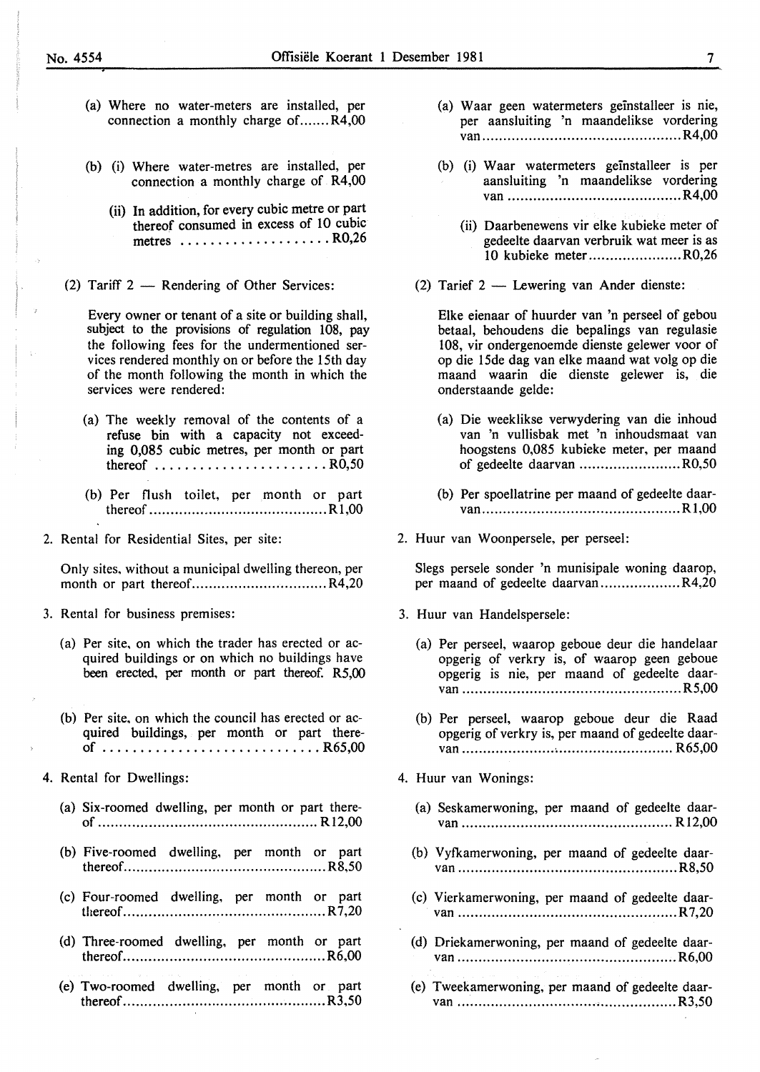- (a) Where no water-meters are installed, per connection a monthly charge of.......R4,00
- (b) (i) Where water-metres are installed, per connection a monthly charge of R4,00
	- (ii) In addition, for every cubic metre or part thereof consumed in excess of 10 cubic metres .................... R0,26
- (2) Tariff  $2$  Rendering of Other Services:

Every owner or tenant of a site or building shall, subject to the provisions of regulation 108, pay the following fees for the undermentioned services rendered monthly on or before the 15th day of the month following the month in which the services were rendered:

- (a) The weekly removal of the contents of a refuse bin with a capacity not exceeding 0,085 cubic metres, per month or part thereof  $\ldots \ldots \ldots \ldots \ldots \ldots$ . RO, 50
- (b) Per flush toilet, per month or part thereof .......................................... R 1,00
- 2. Rental for Residential Sites, per site:

Only sites, without a municipal dwelling thereon, per month or part thereof.................................R4,20

- 3. Rental for business premises:
	- (a) Per site, on which the trader has erected or acquired buildings or on which no buildings have been erected, per month or part thereof. R5,00
	- (b) Per site, on which the council has erected or acquired buildings, per month or part thereof ............................. R65,00
- 4. Rental for Dwellings:
	- (a) Six-roomed dwelling, per month or part thereof .................................................... Rl2,00
	- (b) Five-roomed dwelling, per month or part thereof ................................................ R8,50
	- (c) Four-roomed dwelling, per month or part thereof ................................................ R 7,20
	- (d) Three-roomed dwelling, per month or part thereof ................................................ R6,00
	- (e) Two-roomed dwelling, per month or part thereof ................................................ R3,50
- (a) Waar geen watermeters geinstalleer is nie, per aansluiting 'n maandelikse vordering van ............................................... R4,00
- (b) (i) W aar watermeters geinstalleer is per aansluiting 'n maandelikse vordering van ......................................... R4,00
	- (ii) Daarbenewens vir elke kubieke meter of gedeelte daarvan verbruik wat meer is as 10 kubieke meter ...................... R0,26
- (2) Tarief  $2$  Lewering van Ander dienste:

Elke eienaar of huurder van 'n perseel of gebou betaal, behoudens die bepalings van regulasie 108, vir ondergenoemde dienste gelewer voor of op die 15de dag van elke maand wat volg op die maand waarin die dienste gelewer is, die onderstaande gelde:

- (a) Die weeklikse verwydering van die inhoud van 'n vullisbak met 'n inhoudsmaat van hoogstens 0,085 kubieke meter, per maand of gedeelte daarvan ........................ R0,50
- (b) Per spoellatrine per maand of gedeelte daarvan ............................................... Rl,OO
- 2. Huur van Woonpersele, per perseel:

Slegs persele sonder 'n munisipale woning daarop, per maand of gedeelte daarvan ......................R4,20

- 3. Huur van Handelspersele:
	- (a) Per perseel, waarop geboue deur die handelaar opgerig of verkry is, of waarop geen geboue opgerig is nie, per maand of gedeelte daarvan .................................................... R5,00
	- (b) Per perseel, waarop geboue deur die Raad opgerig of verkry is, per maand of gedeelte daarvan .................................................. R65,00
- 4. Huur van Wonings:
	- (a) Seskamerwoning, per maand of gedeelte daarvan .................................................. Rl2,00
	- (b) Vyfkamerwoning, per maand of gedeelte daarvan .................................................... R8,50
	- (c) Vierkamerwoning, per maand of gedeelte daarvan .................................................... R7,20
	- (d) Driekamerwoning, per maand of gedeelte daarvan .................................................... R6,00
	- (e) Tweekamerwoning, per maand of gedeelte daarvan .................................................... R3,50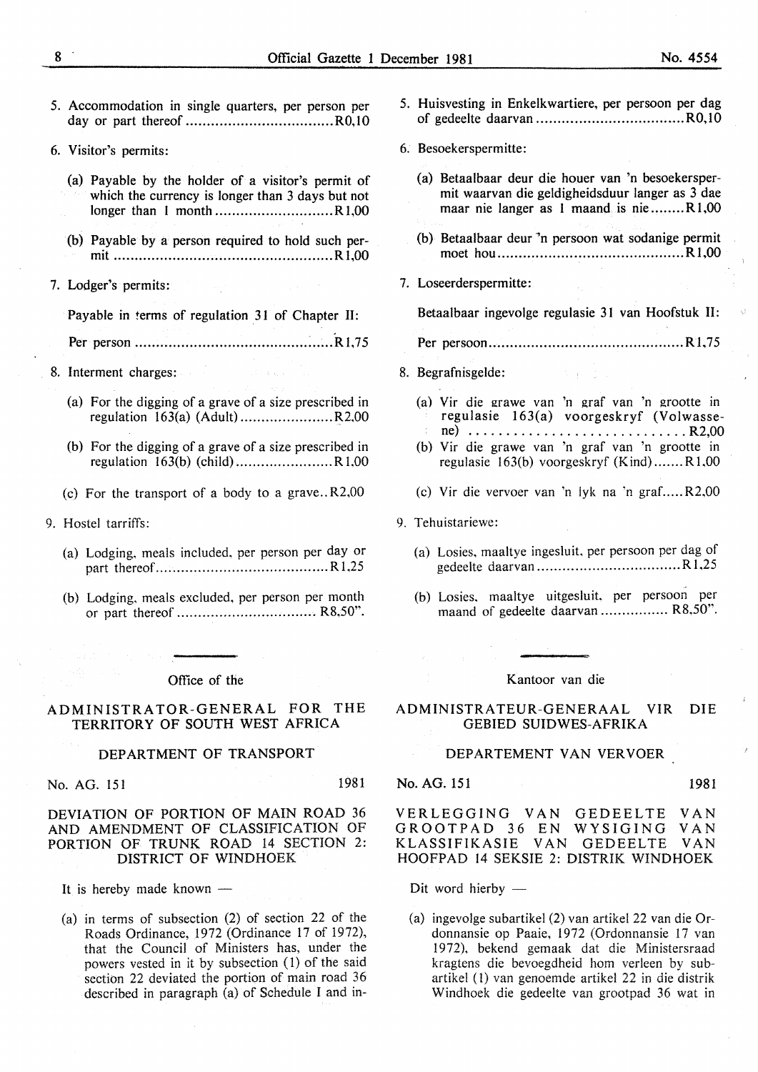| 5. Accommodation in single quarters, per person per                                                                                                                                                                           | 5. Huisvesting in Enkelkwartiere, per persoon per dag                                                                                           |
|-------------------------------------------------------------------------------------------------------------------------------------------------------------------------------------------------------------------------------|-------------------------------------------------------------------------------------------------------------------------------------------------|
| 6. Visitor's permits:                                                                                                                                                                                                         | 6. Besoekerspermitte:                                                                                                                           |
| (a) Payable by the holder of a visitor's permit of<br>which the currency is longer than 3 days but not                                                                                                                        | (a) Betaalbaar deur die houer van 'n besoekersper-<br>mit waarvan die geldigheidsduur langer as 3 dae<br>maar nie langer as 1 maand is nieR1,00 |
| (b) Payable by a person required to hold such per-                                                                                                                                                                            | (b) Betaalbaar deur 'n persoon wat sodanige permit                                                                                              |
| 7. Lodger's permits:<br>$\mathcal{O}(10^{-3})$ , and $\mathcal{O}(10^{-3})$                                                                                                                                                   | 7. Loseerderspermitte:                                                                                                                          |
| Payable in terms of regulation 31 of Chapter II:                                                                                                                                                                              | Betaalbaar ingevolge regulasie 31 van Hoofstuk II:                                                                                              |
|                                                                                                                                                                                                                               |                                                                                                                                                 |
| 8. Interment charges: a contract of the state of the state of the state of the state of the state of the state of the state of the state of the state of the state of the state of the state of the state of the state of the | 8. Begrafnisgelde:                                                                                                                              |
| (a) For the digging of a grave of a size prescribed in                                                                                                                                                                        | (a) Vir die grawe van 'n graf van 'n grootte in<br>regulasie 163(a) voorgeskryf (Volwasse<br>$ne)$ R2,00                                        |
| (b) For the digging of a grave of a size prescribed in                                                                                                                                                                        | (b) Vir die grawe van 'n graf van 'n grootte in<br>regulasie $163(b)$ voorgeskryf (Kind)R1,00                                                   |
| (c) For the transport of a body to a grave $R2,00$                                                                                                                                                                            | (c) Vir die vervoer van 'n lyk na 'n grafR2,00                                                                                                  |
| 9. Hostel tarriffs:                                                                                                                                                                                                           | 9. Tehuistariewe:                                                                                                                               |
| (a) Lodging, meals included, per person per day or                                                                                                                                                                            | (a) Losies, maaltye ingesluit, per persoon per dag of                                                                                           |
| (b) Lodging, meals excluded, per person per month                                                                                                                                                                             | (b) Losies, maaltye uitgesluit, per persoon per<br>maand of gedeelte daarvan  R8,50".                                                           |
|                                                                                                                                                                                                                               |                                                                                                                                                 |

#### Office of the

#### ADMINISTRATOR-GENERAL FOR THE TERRITORY OF SOUTH WEST AFRICA

#### DEPARTMENT OF TRANSPORT

No. AG. 151 1981

#### DEVIATION OF PORTION OF MAIN ROAD 36 AND AMENDMENT OF CLASSIFICATION OF PORTION OF TRUNK ROAD 14 SECTION 2: DISTRICT OF WINDHOEK

It is hereby made known -

(a) in terms of subsection (2) of section 22 of the Roads Ordinance, 1972 (Ordinance 17 of 1972), that the Council of Ministers has, under the powers vested in it by subsection (1) of the said section 22 deviated the portion of main road 36 described in paragraph (a) of Schedule I and in-

| Traisvosting in Enkommunicio, por persoon per aug                                                                                                                                                                                                                                  |
|------------------------------------------------------------------------------------------------------------------------------------------------------------------------------------------------------------------------------------------------------------------------------------|
| 6. Besoekerspermitte:                                                                                                                                                                                                                                                              |
| (a) Betaalbaar deur die houer van 'n besoekersper-<br>mit waarvan die geldigheidsduur langer as 3 dae<br>maar nie langer as 1 maand is nieR1,00<br>(b) Betaalbaar deur 'n persoon wat sodanige permit                                                                              |
|                                                                                                                                                                                                                                                                                    |
| 7. Loseerderspermitte:                                                                                                                                                                                                                                                             |
| Betaalbaar ingevolge regulasie 31 van Hoofstuk II:                                                                                                                                                                                                                                 |
|                                                                                                                                                                                                                                                                                    |
| 8. Begrafnisgelde:<br>クォーカル                                                                                                                                                                                                                                                        |
| (a) Vir die grawe van 'n graf van 'n grootte in<br>regulasie 163(a) voorgeskryf (Volwasse-<br>ne) $\ldots \ldots \ldots \ldots \ldots \ldots \ldots \ldots \ldots \ldots$ . R2,00<br>(b) Vir die grawe van 'n graf van 'n grootte in<br>regulasie $163(b)$ voorgeskryf (Kind)R1,00 |
| (c) Vir die vervoer van 'n lyk na 'n grafR2,00                                                                                                                                                                                                                                     |
| 9. Tehuistariewe:                                                                                                                                                                                                                                                                  |
| (a) Losies, maaltye ingesluit, per persoon per dag of                                                                                                                                                                                                                              |
| (b) Losies, maaltye uitgesluit, per persoon per<br>maand of gedeelte daarvan  R8,50".                                                                                                                                                                                              |
|                                                                                                                                                                                                                                                                                    |
| Kantoor van die                                                                                                                                                                                                                                                                    |
| ADMINISTRATEUR-GENERAAL VIR<br><b>DIE</b>                                                                                                                                                                                                                                          |

### GEBIED SUIDWES-AFRIKA

#### DEPARTEMENT VAN VERVOER

No. AG. 151 1981

VERLEGGING VAN GEDEELTE VAN<br>GROOTPAD 36 EN WYSIGING VAN GROOTPAD 36 EN WYSIGING<br>KLASSIFIKASIE VAN GEDEELTE VAN GEDEELTE VAN HOOFPAD 14 SEKSIE 2: DISTRIK WINDHOEK

Dit word hierby  $-$ 

(a) ingevolge subartikel (2) van artikel 22 van die Ordonnansie op Paaie, 1972 (Ordonnansie 17 van 1972), bekend gemaak dat die Ministersraad kragtens die bevoegdheid hom verleen by subartikel ( 1) van genoemde artikel 22 in die distrik Windhoek die gedeelte van grootpad 36 wat in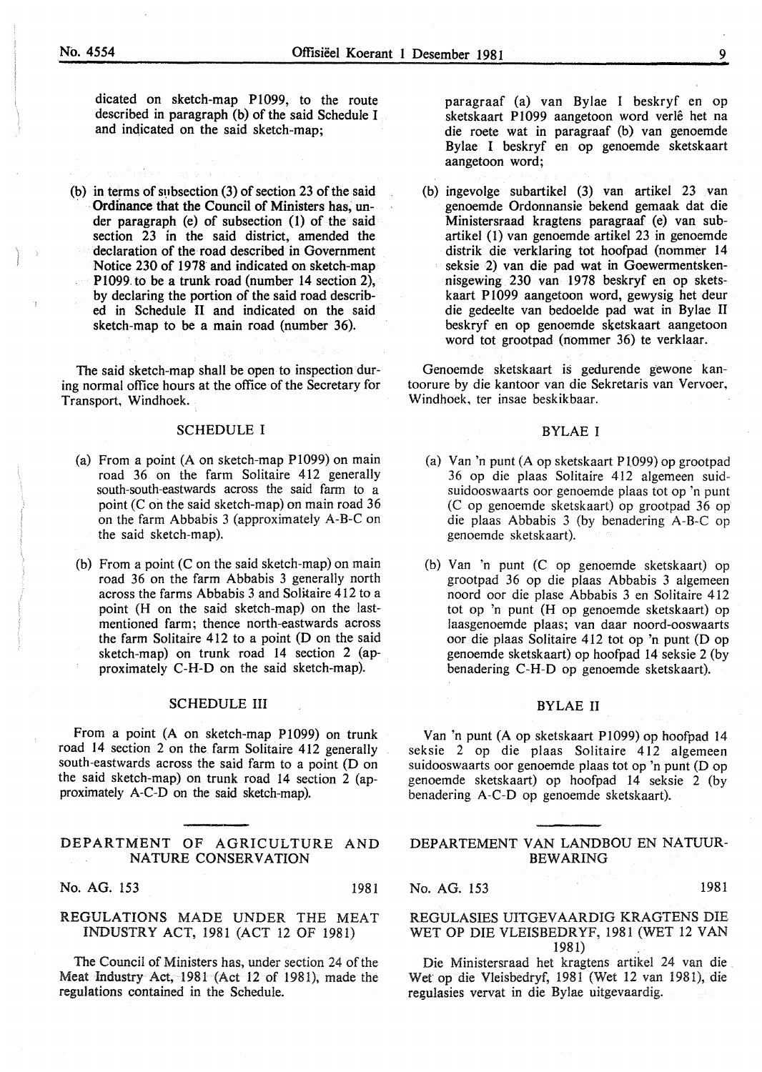dicated on sketch-map Pl099, to the route described in paragraph (b) of the said Schedule I and indicated on the said sketch-map;

(b) in terms of subsection  $(3)$  of section 23 of the said Ordinance that the Council of Ministers has, under paragraph (e) of subsection (1) of the said section 23 in the said district, amended the declaration of the road described in Government Notice 230 of 1978 and indicated on sketch-map Pl099. to be a trunk road (number 14 section 2), by declaring the portion of the said road described in Schedule II and indicated on the said sketch-map to be a main road (number 36).

The said sketch-map shall be open to inspection during normal office hours at the office of the Secretary for Transport, Windhoek.

#### SCHEDULE I

- (a) From a point (A on sketch-map P1099) on main road 36 on the farm Solitaire 412 generally south-south-eastwards across the said farm to a point (C on the said sketch-map) on main road 36 on the farm Abbabis 3 (approximately A-B-C on the said sketch-map).
- (b) From a point  $(C$  on the said sketch-map) on main road 36 on the farm Abbabis 3 generally north across the farms Abbabis 3 and Solitaire 412 to a point (H on the said sketch-map) on the lastmentioned farm; thence north-eastwards across the farm Solitaire 412 to a point (D on the said sketch-map) on trunk road 14 section 2 (approximately C-H-D on the said sketch-map).

#### SCHEDULE III

From a point (A on sketch-map Pl099) on trunk road 14 section 2 on the farm Solitaire 412 generally south-eastwards across the said farm to a point (D on the said sketch-map) on trunk road 14 section 2 (approximately A-C-D on the said sketch-map).

#### DEPARTMENT OF AGRICULTURE AND NATURE CONSERVATION

No. AG. 153 1981

#### REGULATIONS MADE UNDER THE MEAT INDUSTRY ACT, 1981 (ACT 12 OF 1981)

The Council of Ministers has, under section 24 of the Meat Industry Act, 1981 (Act 12 of 1981), made the regulations contained in the Schedule.

paragraaf (a) van Bylae I beskryf en op sketskaart P1099 aangetoon word verlê het na die roete wat in paragraaf (b) van genoemde Bylae I beskryf en op genoemde sketskaart aangetoon word;

(b) ingevolge subartikel (3) van artikel 23 van genoemde Ordonnansie bekend gemaak dat die Ministersraad kragtens paragraaf (e) van subartikel (I) van genoemde artikel 23 in genoemde distrik die verklaring tot hoofpad (nommer 14 seksie 2) van die pad wat in Goewermentskennisgewing 230 van 1978 beskryf en op sketskaart P1099 aangetoon word, gewysig het deur die gedeelte van bedoelde pad wat in Bylae II beskryf en op genoemde sketskaart aangetoon word tot grootpad (nommer 36) te verklaar.

Genoemde sketskaart is gedurende gewone kantoorure by die kantoor van die Sekretaris van Vervoer, Windhoek, ter insae beskikbaar.

#### BYLAE I

- (a) Van 'n punt (A op sketskaart Pl099) op grootpad 36 op die plaas Solitaire 412 algemeen suidsuidooswaarts oor genoemde plaas tot op 'n punt (C op genoemde sketskaart) op grootpad 36 op die plaas Abbabis 3 (by benadering A-B-C op genoemde sketskaart).
- (b) Van 'n punt (C op genoemde sketskaart) op grootpad 36 op die plaas Abbabis 3 algemeen noord oor die plase Abbabis 3 en Solitaire 412 tot op 'n punt (H op genoemde sketskaart) op laasgenoemde plaas; van daar noord-ooswaarts oor die plaas Solitaire 412 tot op 'n punt (D op genoemde sketskaart) op hoofpad 14 seksie 2 (by benadering C-H-D op genoemde sketskaart).

#### BYLAE II

Van 'n punt (A op sketskaart Pl099) op hoofpad 14 seksie 2 op die plaas Solitaire 412 algemeen suidooswaarts oor genoemde plaas tot op 'n punt (D op genoemde sketskaart) op hoofpad 14 seksie 2 (by benadering A-C-D op genoemde sketskaart).

#### DEPARTEMENT VAN LANDBOU EN NATUUR-BEWARING

No. AG. 153 1981

REGULASIES UITGEV AARDIG KRAGTENS DIE WET OP DIE VLEISBEDRYF, 1981 (WET 12 VAN 1981).

Die Ministersraad het kragtens artikel 24 van die Wet op die Vleisbedryf, 1981 (Wet 12 van 1981), die regulasies vervat in die Bylae uitgevaardig.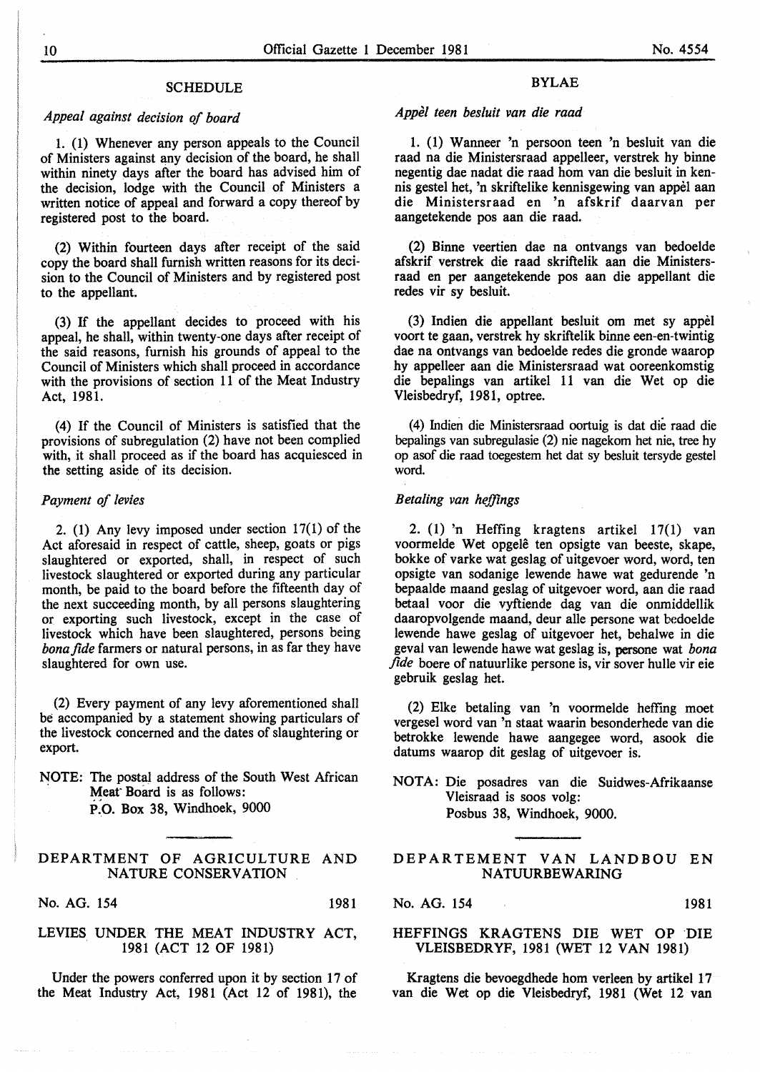#### SCHEDULE

### *Appeal against decision of board*

1. (1) Whenever any person appeals to the Council of Ministers against any decision of the board, he shall within ninety days after the board has advised him of the decision, lodge with the Council of Ministers a written notice of appeal and forward a copy thereof by registered post to the board.

(2) Within fourteen days after receipt of the said copy the board shall furnish written reasons for its decision to the Council of Ministers and by registered post to the appellant.

(3) If the appellant decides to proceed with his appeal, he shall, within twenty-one days after receipt of the said reasons, furnish his grounds of appeal to the Council of Ministers which shall proceed in accordance with the provisions of section 11 of the Meat Industry Act, 1981.

(4) If the Council of Ministers is satisfied that the provisions of subregulation (2) have not been complied with, it shall proceed as if the board has acquiesced in the setting aside of its decision.

#### *Payment of levies*

2. (1) Any levy imposed under section 17(1) of the Act aforesaid in respect of cattle, sheep, goats or pigs slaughtered or exported, shall, in respect of such livestock slaughtered or exported during any particular month, be paid to the board before the fifteenth day of the next succeeding month, by all persons slaughtering or exporting such livestock, except in the case of livestock which have been slaughtered, persons being *bona fide* farmers or natural persons, in as far they have slaughtered for own use.

(2) Every payment of any levy aforementioned shall be accompanied by a statement showing particulars of the livestock concerned and the dates of slaughtering or export.

NOTE: The postal address of the South West African Meat Board is as follows: P:o. Box 38, Windhoek, 9000

#### DEPARTMENT OF AGRICULTURE AND NATURE CONSERVATION

No. AG. 154 1981

#### LEVIES UNDER THE MEAT INDUSTRY ACT, . 1981 (ACT 12 OF 1981)

Under the powers conferred upon it by section 17 of the Meat Industry Act, 1981 (Act 12 of 1981), the

#### BYLAE

*Appel teen besluit van die raad* 

1. (1) Wanneer 'n persoon teen 'n besluit van die raad na die Ministersraad appelleer, verstrek hy binne negentig dae nadat die raad hom van die besluit in kennis gestel bet, 'n skriftelike kennisgewing van appel aan die Ministersraad en 'n afskrif daarvan per aangetekende pos aan die raad.

(2) Binne veertien dae na ontvangs van bedoelde afskrif verstrek die raad skriftelik aan die Ministersraad en per aangetekende pos aan die appellant die redes vir sy besluit.

(3) Indien die appellant besluit om met sy appel voort te gaan, verstrek hy skriftelik binne een-en-twintig dae na ontvangs van bedoelde redes die gronde waarop hy appelleer aan die Ministersraad wat ooreenkomstig die bepalings van artikel 11 van die Wet op die Vleisbedryf, 1981, optree.

(4) Indien die Ministersraad oortuig is dat die raad die bepalings van subregulasie (2) nie nagekom bet nie, tree hy op asof die raad toegestem bet dat sy besluit tersyde gestel word.

#### *Betaling van heffings*

2. (1) 'n Hefting kragtens artikel 17(1) van voormelde Wet opgelê ten opsigte van beeste, skape, bokke of varke wat geslag of uitgevoer word, word, ten opsigte van sodanige lewende hawe wat gedurende 'n bepaalde maand geslag of uitgevoer word, aan die raad betaal voor die vyftiende dag van die onmiddellik daaropvolgende maand, deur aile persone wat bedoelde lewende hawe geslag of uitgevoer het, behalwe in die geval van lewende hawe wat geslag is, persone wat *bona fide* boere of natuurlike persone is, vir sover bulle vir eie gebruik geslag bet.

(2) Elke betaling van 'n voormelde heffmg moet vergesel word van 'n staat waarin besonderhede van die betrokke lewende hawe aangegee word, asook die datums waarop dit geslag of uitgevoer is.

NOTA: Die posadres van die Suidwes-Afrikaanse Vleisraad is soos volg: Posbus 38, Windhoek, 9000.

DEPARTEMENT VAN LANDBOU EN NATUURBEWARING

No. AG. 154 1981

#### HEFFINGS KRAGTENS DIE WET OP DIE VLEISBEDRYF, 1981 (WET 12 VAN 1981)

Kragtens die bevoegdhede hom verleen by artikel 17 van die Wet op die Vleisbedryf, 1981 (Wet 12 van